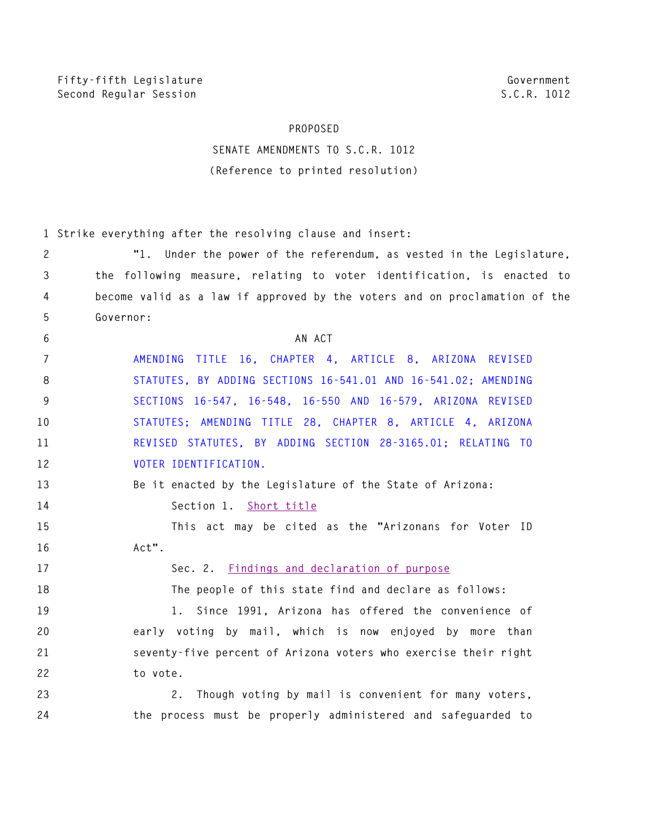## **PROPOSED**

## **SENATE AMENDMENTS TO S.C.R. 1012 (Reference to printed resolution)**

|              | 1 Strike everything after the resolving clause and insert:                 |
|--------------|----------------------------------------------------------------------------|
| $\mathbf{2}$ | "1. Under the power of the referendum, as vested in the Legislature,       |
| 3            | the following measure, relating to voter identification, is enacted to     |
| 4            | become valid as a law if approved by the voters and on proclamation of the |
| 5            | Governor:                                                                  |
| 6            | AN ACT                                                                     |
| 7            | TITLE 16, CHAPTER 4, ARTICLE 8, ARIZONA REVISED<br>AMENDING                |
| 8            | STATUTES, BY ADDING SECTIONS 16-541.01 AND 16-541.02; AMENDING             |
| 9            | SECTIONS 16-547, 16-548, 16-550 AND 16-579, ARIZONA REVISED                |
| 10           | STATUTES; AMENDING TITLE 28, CHAPTER 8, ARTICLE 4, ARIZONA                 |
| 11           | REVISED STATUTES, BY ADDING SECTION 28-3165.01; RELATING TO                |
| 12           | VOTER IDENTIFICATION.                                                      |
| 13           | Be it enacted by the Legislature of the State of Arizona:                  |
| 14           | Section 1. Short title                                                     |
| 15           | This act may be cited as the "Arizonans for Voter ID                       |
| 16           | Act".                                                                      |
| 17           | Sec. 2. Findings and declaration of purpose                                |
| 18           | The people of this state find and declare as follows:                      |
| 19           | 1. Since 1991, Arizona has offered the convenience of                      |
| 20           | early voting by mail, which is now enjoyed by more than                    |
| 21           | seventy-five percent of Arizona voters who exercise their right            |
| 22           | to vote.                                                                   |
| 23           | 2. Though voting by mail is convenient for many voters,                    |
| 24           | the process must be properly administered and safeguarded to               |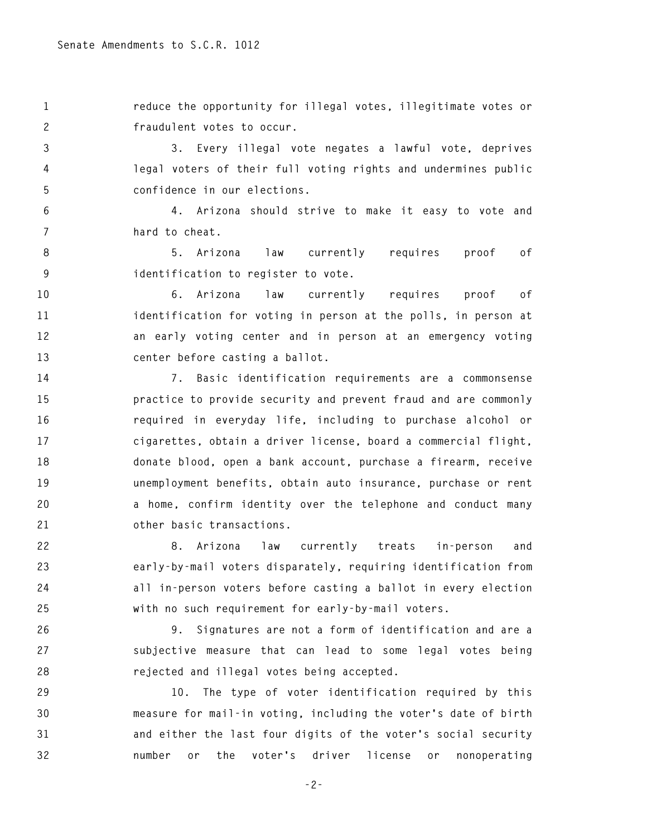**1 reduce the opportunity for illegal votes, illegitimate votes or 2 fraudulent votes to occur.** 

**3 3. Every illegal vote negates a lawful vote, deprives 4 legal voters of their full voting rights and undermines public 5 confidence in our elections.** 

**6 4. Arizona should strive to make it easy to vote and 7 hard to cheat.** 

**8 5. Arizona law currently requires proof of 9 identification to register to vote.** 

**10 6. Arizona law currently requires proof of 11 identification for voting in person at the polls, in person at 12 an early voting center and in person at an emergency voting 13 center before casting a ballot.** 

**14 7. Basic identification requirements are a commonsense 15 practice to provide security and prevent fraud and are commonly 16 required in everyday life, including to purchase alcohol or 17 cigarettes, obtain a driver license, board a commercial flight, 18 donate blood, open a bank account, purchase a firearm, receive 19 unemployment benefits, obtain auto insurance, purchase or rent 20 a home, confirm identity over the telephone and conduct many 21 other basic transactions.** 

**22 8. Arizona law currently treats in-person and 23 early-by-mail voters disparately, requiring identification from 24 all in-person voters before casting a ballot in every election 25 with no such requirement for early-by-mail voters.** 

**26 9. Signatures are not a form of identification and are a 27 subjective measure that can lead to some legal votes being 28 rejected and illegal votes being accepted.** 

**29 10. The type of voter identification required by this 30 measure for mail-in voting, including the voter's date of birth 31 and either the last four digits of the voter's social security 32 number or the voter's driver license or nonoperating** 

**-2-**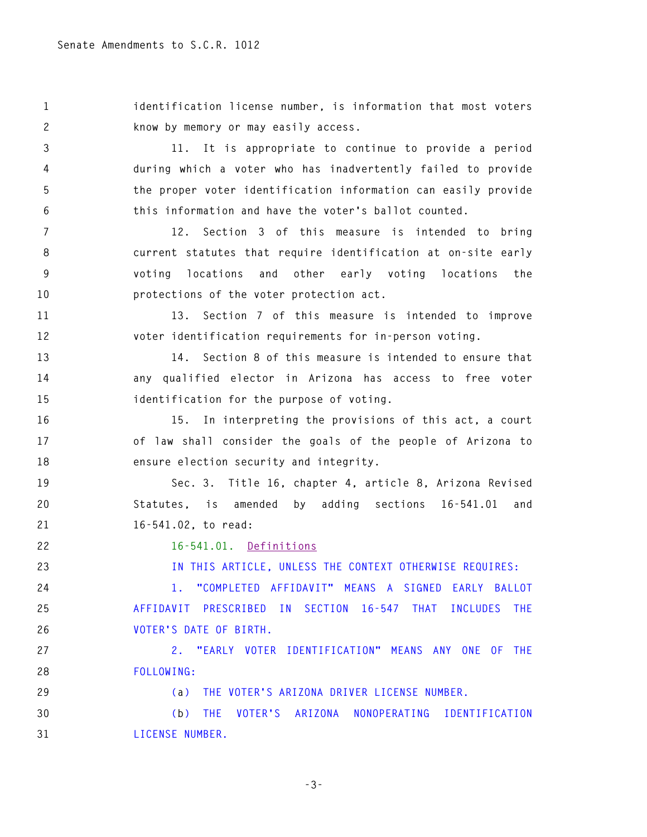**1 identification license number, is information that most voters 2 know by memory or may easily access.** 

**3 11. It is appropriate to continue to provide a period 4 during which a voter who has inadvertently failed to provide 5 the proper voter identification information can easily provide 6 this information and have the voter's ballot counted.** 

**7 12. Section 3 of this measure is intended to bring 8 current statutes that require identification at on-site early 9 voting locations and other early voting locations the 10 protections of the voter protection act.** 

**11 13. Section 7 of this measure is intended to improve 12 voter identification requirements for in-person voting.** 

**13 14. Section 8 of this measure is intended to ensure that 14 any qualified elector in Arizona has access to free voter 15 identification for the purpose of voting.** 

**16 15. In interpreting the provisions of this act, a court 17 of law shall consider the goals of the people of Arizona to 18 ensure election security and integrity.** 

**19 Sec. 3. Title 16, chapter 4, article 8, Arizona Revised 20 Statutes, is amended by adding sections 16-541.01 and 21 16-541.02, to read:** 

**22 16-541.01. Definitions** 

**23 IN THIS ARTICLE, UNLESS THE CONTEXT OTHERWISE REQUIRES:** 

**24 1. "COMPLETED AFFIDAVIT" MEANS A SIGNED EARLY BALLOT 25 AFFIDAVIT PRESCRIBED IN SECTION 16-547 THAT INCLUDES THE 26 VOTER'S DATE OF BIRTH.** 

**27 2. "EARLY VOTER IDENTIFICATION" MEANS ANY ONE OF THE 28 FOLLOWING:** 

**29 (a) THE VOTER'S ARIZONA DRIVER LICENSE NUMBER.** 

**30 (b) THE VOTER'S ARIZONA NONOPERATING IDENTIFICATION 31 LICENSE NUMBER.** 

**-3-**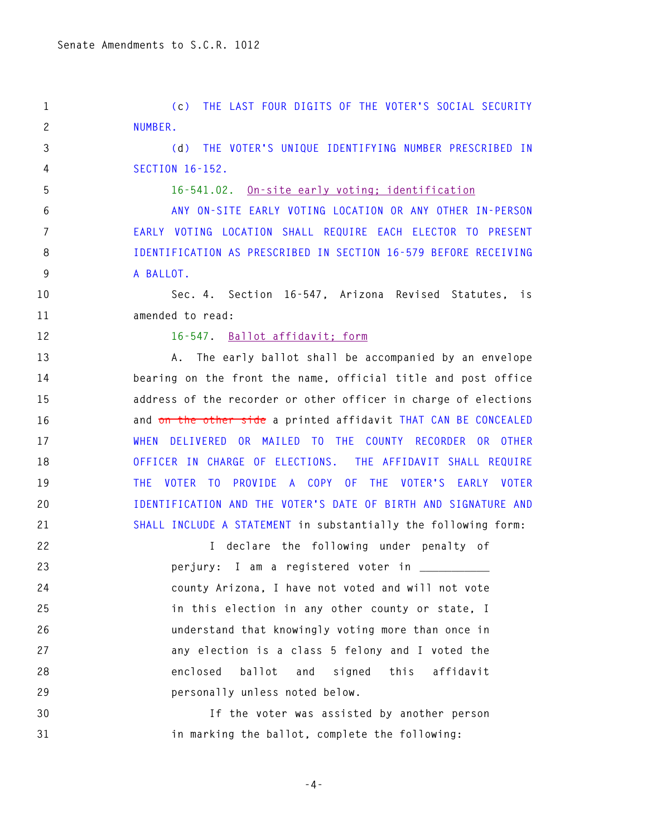**1 (c) THE LAST FOUR DIGITS OF THE VOTER'S SOCIAL SECURITY 2 NUMBER.** 

**3 (d) THE VOTER'S UNIQUE IDENTIFYING NUMBER PRESCRIBED IN 4 SECTION 16-152.** 

**5 16-541.02. On-site early voting; identification** 

**6 ANY ON-SITE EARLY VOTING LOCATION OR ANY OTHER IN-PERSON 7 EARLY VOTING LOCATION SHALL REQUIRE EACH ELECTOR TO PRESENT 8 IDENTIFICATION AS PRESCRIBED IN SECTION 16-579 BEFORE RECEIVING 9 A BALLOT.** 

**10 Sec. 4. Section 16-547, Arizona Revised Statutes, is 11 amended to read:** 

## **12 16-547. Ballot affidavit; form**

**13 A. The early ballot shall be accompanied by an envelope 14 bearing on the front the name, official title and post office 15 address of the recorder or other officer in charge of elections 16 and on the other side a printed affidavit THAT CAN BE CONCEALED 17 WHEN DELIVERED OR MAILED TO THE COUNTY RECORDER OR OTHER 18 OFFICER IN CHARGE OF ELECTIONS. THE AFFIDAVIT SHALL REQUIRE 19 THE VOTER TO PROVIDE A COPY OF THE VOTER'S EARLY VOTER 20 IDENTIFICATION AND THE VOTER'S DATE OF BIRTH AND SIGNATURE AND 21 SHALL INCLUDE A STATEMENT in substantially the following form:** 

**22 I declare the following under penalty of**  23 *perjury:* **I am a registered voter in \_\_\_\_\_\_\_\_\_\_\_ 24 county Arizona, I have not voted and will not vote 25 in this election in any other county or state, I 26 understand that knowingly voting more than once in 27 any election is a class 5 felony and I voted the 28 enclosed ballot and signed this affidavit 29 personally unless noted below.** 

**30 If the voter was assisted by another person 31 in marking the ballot, complete the following:** 

**-4-**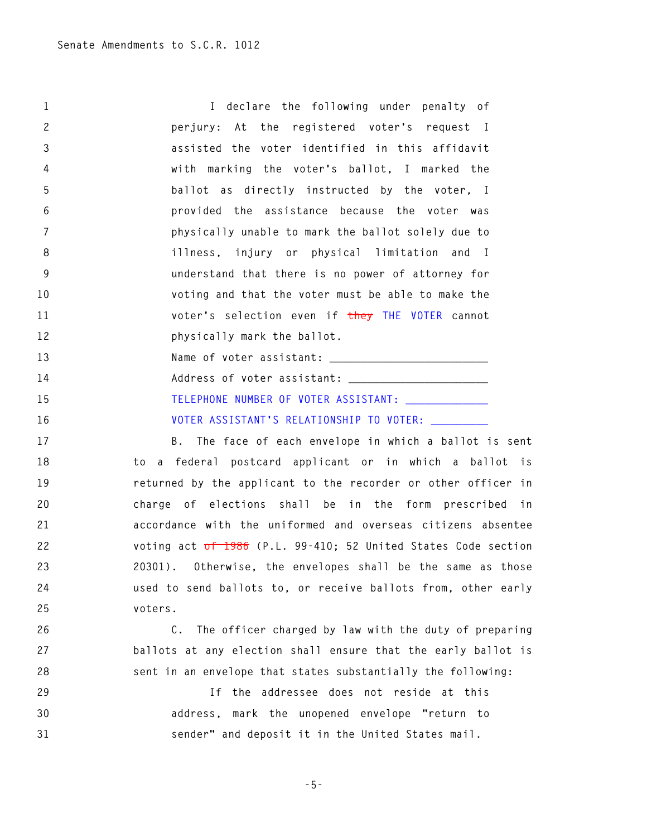**1 I declare the following under penalty of 2 perjury: At the registered voter's request I 3 assisted the voter identified in this affidavit 4 with marking the voter's ballot, I marked the 5 ballot as directly instructed by the voter, I 6 provided the assistance because the voter was 7 physically unable to mark the ballot solely due to 8 illness, injury or physical limitation and I 9 understand that there is no power of attorney for 10 voting and that the voter must be able to make the 11 voter's selection even if they THE VOTER cannot 12 physically mark the ballot.**  13 Name of voter assistant: **14 Address of voter assistant: \_\_\_\_\_\_\_\_\_\_\_\_\_\_\_\_\_\_\_\_\_\_ 15 TELEPHONE NUMBER OF VOTER ASSISTANT: \_\_\_\_\_\_\_\_\_\_\_\_\_**  16 **VOTER ASSISTANT'S RELATIONSHIP TO VOTER: 17 B. The face of each envelope in which a ballot is sent 18 to a federal postcard applicant or in which a ballot is 19 returned by the applicant to the recorder or other officer in 20 charge of elections shall be in the form prescribed in 21 accordance with the uniformed and overseas citizens absentee 22 voting act of 1986 (P.L. 99-410; 52 United States Code section 23 20301). Otherwise, the envelopes shall be the same as those 24 used to send ballots to, or receive ballots from, other early 25 voters. 26 C. The officer charged by law with the duty of preparing 27 ballots at any election shall ensure that the early ballot is 28 sent in an envelope that states substantially the following:** 

**29 If the addressee does not reside at this 30 address, mark the unopened envelope "return to 31 sender" and deposit it in the United States mail.** 

**-5-**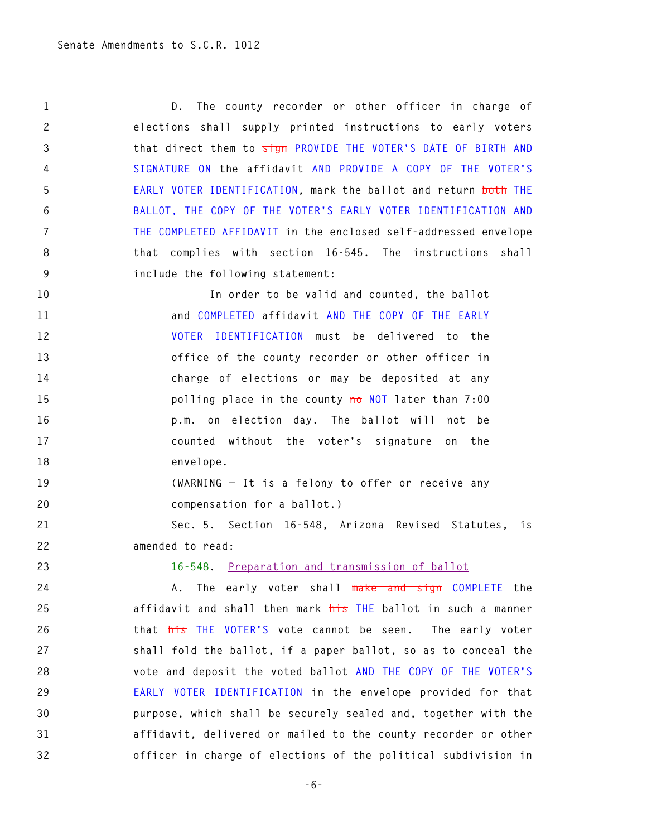**1 D. The county recorder or other officer in charge of 2 elections shall supply printed instructions to early voters 3 that direct them to sign PROVIDE THE VOTER'S DATE OF BIRTH AND 4 SIGNATURE ON the affidavit AND PROVIDE A COPY OF THE VOTER'S 5 EARLY VOTER IDENTIFICATION, mark the ballot and return both THE 6 BALLOT, THE COPY OF THE VOTER'S EARLY VOTER IDENTIFICATION AND 7 THE COMPLETED AFFIDAVIT in the enclosed self-addressed envelope 8 that complies with section 16-545. The instructions shall 9 include the following statement:** 

**10 In order to be valid and counted, the ballot 11 and COMPLETED affidavit AND THE COPY OF THE EARLY 12 VOTER IDENTIFICATION must be delivered to the 13 office of the county recorder or other officer in 14 charge of elections or may be deposited at any 15 polling place in the county no NOT later than 7:00 16 p.m. on election day. The ballot will not be 17 counted without the voter's signature on the 18 envelope.** 

**19 (WARNING — It is a felony to offer or receive any 20 compensation for a ballot.)** 

**21 Sec. 5. Section 16-548, Arizona Revised Statutes, is 22 amended to read:** 

**23 16-548. Preparation and transmission of ballot**

**24 A. The early voter shall make and sign COMPLETE the 25 affidavit and shall then mark his THE ballot in such a manner 26 that his THE VOTER'S vote cannot be seen. The early voter 27 shall fold the ballot, if a paper ballot, so as to conceal the 28 vote and deposit the voted ballot AND THE COPY OF THE VOTER'S 29 EARLY VOTER IDENTIFICATION in the envelope provided for that 30 purpose, which shall be securely sealed and, together with the 31 affidavit, delivered or mailed to the county recorder or other 32 officer in charge of elections of the political subdivision in** 

**-6-**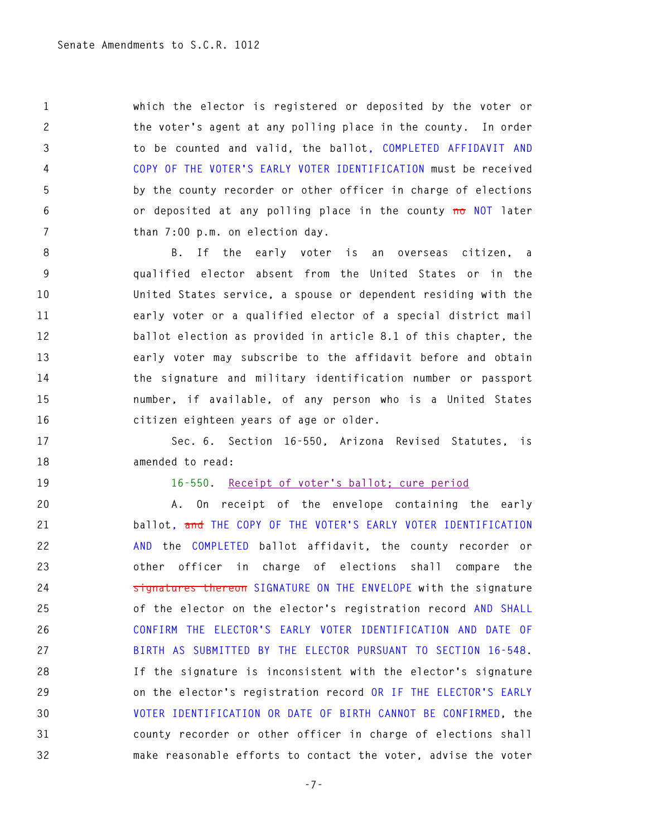**1 which the elector is registered or deposited by the voter or 2 the voter's agent at any polling place in the county. In order 3 to be counted and valid, the ballot, COMPLETED AFFIDAVIT AND 4 COPY OF THE VOTER'S EARLY VOTER IDENTIFICATION must be received 5 by the county recorder or other officer in charge of elections 6 or deposited at any polling place in the county no NOT later 7 than 7:00 p.m. on election day.** 

**8 B. If the early voter is an overseas citizen, a 9 qualified elector absent from the United States or in the 10 United States service, a spouse or dependent residing with the 11 early voter or a qualified elector of a special district mail 12 ballot election as provided in article 8.1 of this chapter, the 13 early voter may subscribe to the affidavit before and obtain 14 the signature and military identification number or passport 15 number, if available, of any person who is a United States 16 citizen eighteen years of age or older.** 

**17 Sec. 6. Section 16-550, Arizona Revised Statutes, is 18 amended to read:** 

**19 16-550. Receipt of voter's ballot; cure period**

**20 A. On receipt of the envelope containing the early 21 ballot, and THE COPY OF THE VOTER'S EARLY VOTER IDENTIFICATION 22 AND the COMPLETED ballot affidavit, the county recorder or 23 other officer in charge of elections shall compare the 24 signatures thereon SIGNATURE ON THE ENVELOPE with the signature 25 of the elector on the elector's registration record AND SHALL 26 CONFIRM THE ELECTOR'S EARLY VOTER IDENTIFICATION AND DATE OF 27 BIRTH AS SUBMITTED BY THE ELECTOR PURSUANT TO SECTION 16-548. 28 If the signature is inconsistent with the elector's signature 29 on the elector's registration record OR IF THE ELECTOR'S EARLY 30 VOTER IDENTIFICATION OR DATE OF BIRTH CANNOT BE CONFIRMED, the 31 county recorder or other officer in charge of elections shall 32 make reasonable efforts to contact the voter, advise the voter** 

**-7-**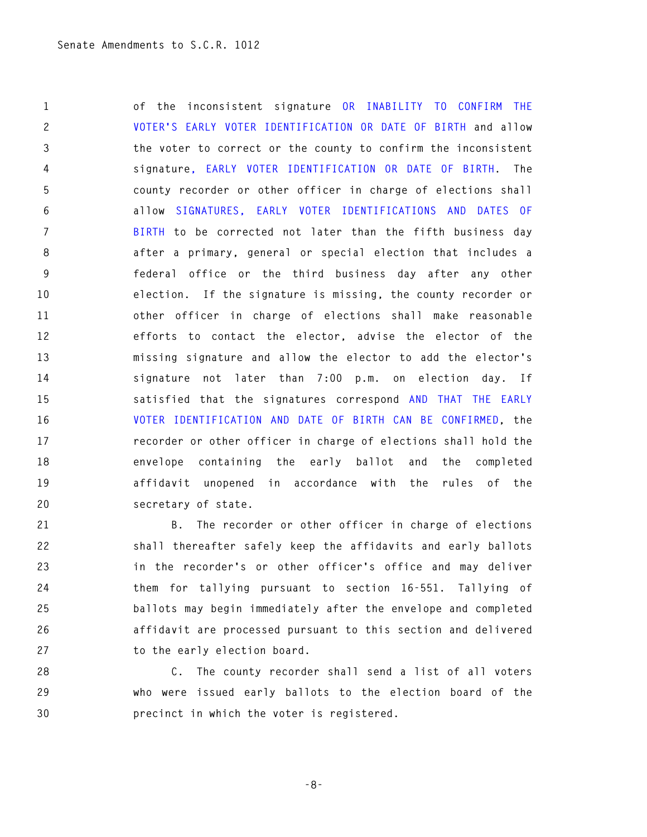**1 of the inconsistent signature OR INABILITY TO CONFIRM THE 2 VOTER'S EARLY VOTER IDENTIFICATION OR DATE OF BIRTH and allow 3 the voter to correct or the county to confirm the inconsistent 4 signature, EARLY VOTER IDENTIFICATION OR DATE OF BIRTH. The 5 county recorder or other officer in charge of elections shall 6 allow SIGNATURES, EARLY VOTER IDENTIFICATIONS AND DATES OF 7 BIRTH to be corrected not later than the fifth business day 8 after a primary, general or special election that includes a 9 federal office or the third business day after any other 10 election. If the signature is missing, the county recorder or 11 other officer in charge of elections shall make reasonable 12 efforts to contact the elector, advise the elector of the 13 missing signature and allow the elector to add the elector's 14 signature not later than 7:00 p.m. on election day. If 15 satisfied that the signatures correspond AND THAT THE EARLY 16 VOTER IDENTIFICATION AND DATE OF BIRTH CAN BE CONFIRMED, the 17 recorder or other officer in charge of elections shall hold the 18 envelope containing the early ballot and the completed 19 affidavit unopened in accordance with the rules of the 20 secretary of state.** 

**21 B. The recorder or other officer in charge of elections 22 shall thereafter safely keep the affidavits and early ballots 23 in the recorder's or other officer's office and may deliver 24 them for tallying pursuant to section 16-551. Tallying of 25 ballots may begin immediately after the envelope and completed 26 affidavit are processed pursuant to this section and delivered 27 to the early election board.** 

**28 C. The county recorder shall send a list of all voters 29 who were issued early ballots to the election board of the 30 precinct in which the voter is registered.** 

```
-8-
```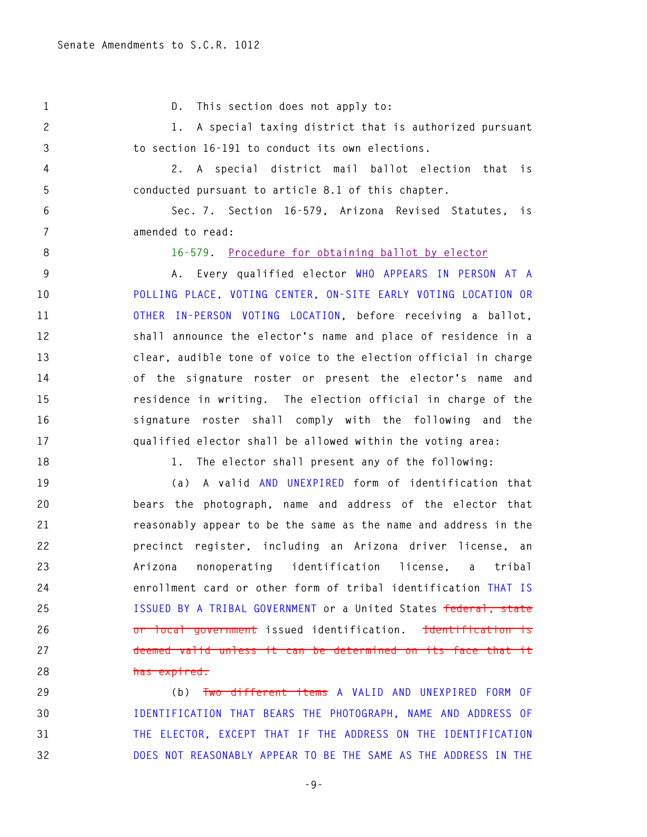**1 D. This section does not apply to:** 

**2 1. A special taxing district that is authorized pursuant 3 to section 16-191 to conduct its own elections.** 

**4 2. A special district mail ballot election that is 5 conducted pursuant to article 8.1 of this chapter.** 

**6 Sec. 7. Section 16-579, Arizona Revised Statutes, is 7 amended to read:** 

**8 16-579. Procedure for obtaining ballot by elector**

**9 A. Every qualified elector WHO APPEARS IN PERSON AT A 10 POLLING PLACE, VOTING CENTER, ON-SITE EARLY VOTING LOCATION OR 11 OTHER IN-PERSON VOTING LOCATION, before receiving a ballot, 12 shall announce the elector's name and place of residence in a 13 clear, audible tone of voice to the election official in charge 14 of the signature roster or present the elector's name and 15 residence in writing. The election official in charge of the 16 signature roster shall comply with the following and the 17 qualified elector shall be allowed within the voting area:** 

**18 1. The elector shall present any of the following:** 

**19 (a) A valid AND UNEXPIRED form of identification that 20 bears the photograph, name and address of the elector that 21 reasonably appear to be the same as the name and address in the 22 precinct register, including an Arizona driver license, an 23 Arizona nonoperating identification license, a tribal 24 enrollment card or other form of tribal identification THAT IS 25 ISSUED BY A TRIBAL GOVERNMENT or a United States federal, state 26 or local government issued identification. Identification is 27 deemed valid unless it can be determined on its face that it 28 has expired.**

**29 (b) Two different items A VALID AND UNEXPIRED FORM OF 30 IDENTIFICATION THAT BEARS THE PHOTOGRAPH, NAME AND ADDRESS OF 31 THE ELECTOR, EXCEPT THAT IF THE ADDRESS ON THE IDENTIFICATION 32 DOES NOT REASONABLY APPEAR TO BE THE SAME AS THE ADDRESS IN THE** 

**-9-**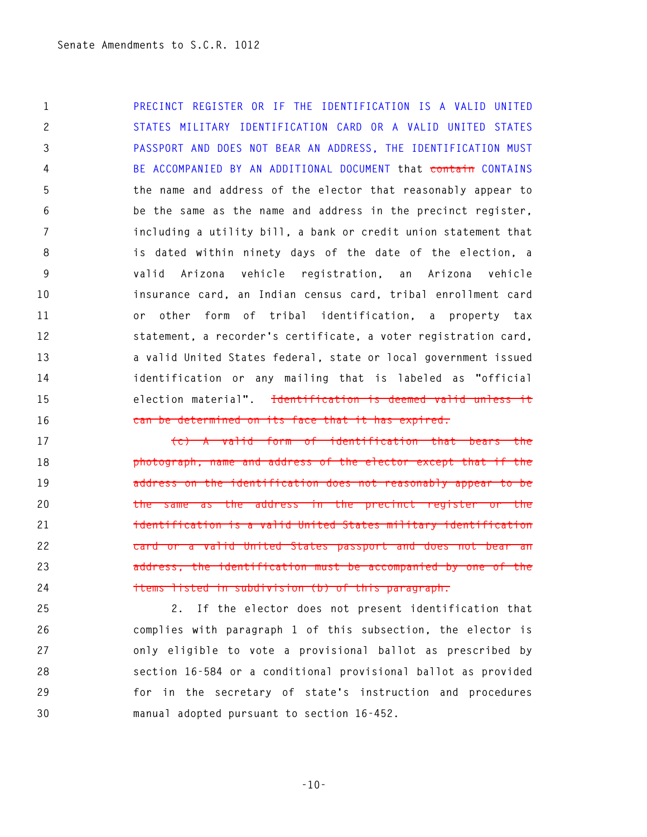**1 PRECINCT REGISTER OR IF THE IDENTIFICATION IS A VALID UNITED 2 STATES MILITARY IDENTIFICATION CARD OR A VALID UNITED STATES 3 PASSPORT AND DOES NOT BEAR AN ADDRESS, THE IDENTIFICATION MUST 4 BE ACCOMPANIED BY AN ADDITIONAL DOCUMENT that contain CONTAINS 5 the name and address of the elector that reasonably appear to 6 be the same as the name and address in the precinct register, 7 including a utility bill, a bank or credit union statement that 8 is dated within ninety days of the date of the election, a 9 valid Arizona vehicle registration, an Arizona vehicle 10 insurance card, an Indian census card, tribal enrollment card 11 or other form of tribal identification, a property tax 12 statement, a recorder's certificate, a voter registration card, 13 a valid United States federal, state or local government issued 14 identification or any mailing that is labeled as "official 15 election material". Identification is deemed valid unless it 16 can be determined on its face that it has expired.**

**17 (c) A valid form of identification that bears the 18 photograph, name and address of the elector except that if the 19 address on the identification does not reasonably appear to be 20 the same as the address in the precinct register or the 21 identification is a valid United States military identification 22 card or a valid United States passport and does not bear an 23 address, the identification must be accompanied by one of the 24 items listed in subdivision (b) of this paragraph.** 

**25 2. If the elector does not present identification that 26 complies with paragraph 1 of this subsection, the elector is 27 only eligible to vote a provisional ballot as prescribed by 28 section 16-584 or a conditional provisional ballot as provided 29 for in the secretary of state's instruction and procedures 30 manual adopted pursuant to section 16-452.** 

**-10-**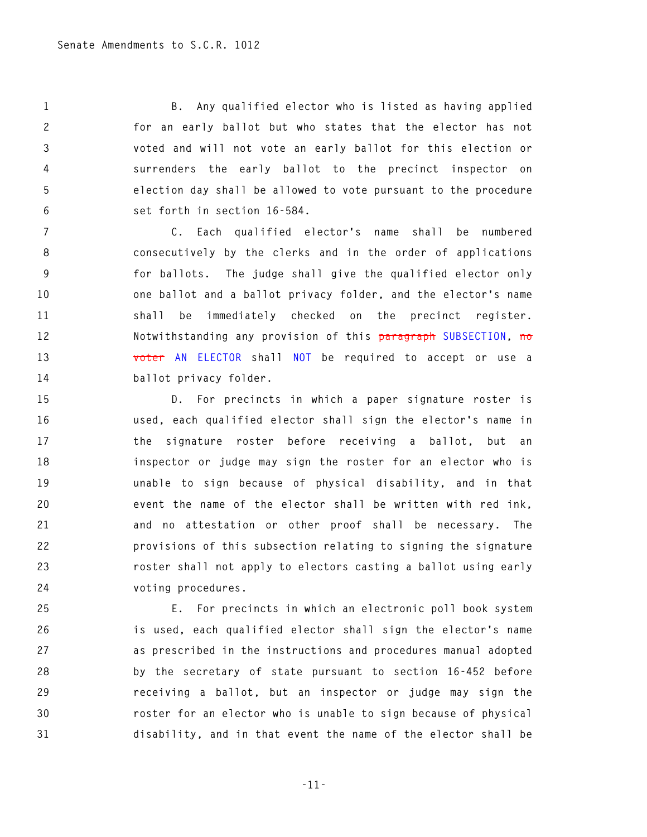**1 B. Any qualified elector who is listed as having applied 2 for an early ballot but who states that the elector has not 3 voted and will not vote an early ballot for this election or 4 surrenders the early ballot to the precinct inspector on 5 election day shall be allowed to vote pursuant to the procedure 6 set forth in section 16-584.** 

**7 C. Each qualified elector's name shall be numbered 8 consecutively by the clerks and in the order of applications 9 for ballots. The judge shall give the qualified elector only 10 one ballot and a ballot privacy folder, and the elector's name 11 shall be immediately checked on the precinct register. 12 Notwithstanding any provision of this paragraph SUBSECTION, no 13 voter AN ELECTOR shall NOT be required to accept or use a 14 ballot privacy folder.** 

**15 D. For precincts in which a paper signature roster is 16 used, each qualified elector shall sign the elector's name in 17 the signature roster before receiving a ballot, but an 18 inspector or judge may sign the roster for an elector who is 19 unable to sign because of physical disability, and in that 20 event the name of the elector shall be written with red ink, 21 and no attestation or other proof shall be necessary. The 22 provisions of this subsection relating to signing the signature 23 roster shall not apply to electors casting a ballot using early 24 voting procedures.** 

**25 E. For precincts in which an electronic poll book system 26 is used, each qualified elector shall sign the elector's name 27 as prescribed in the instructions and procedures manual adopted 28 by the secretary of state pursuant to section 16-452 before 29 receiving a ballot, but an inspector or judge may sign the 30 roster for an elector who is unable to sign because of physical 31 disability, and in that event the name of the elector shall be** 

**-11-**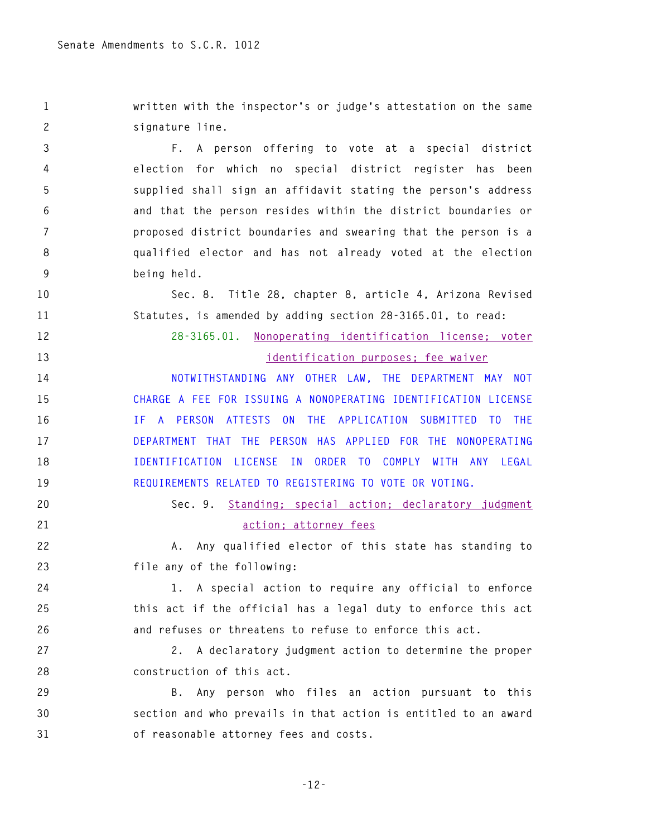**1 written with the inspector's or judge's attestation on the same 2 signature line.** 

**3 F. A person offering to vote at a special district 4 election for which no special district register has been 5 supplied shall sign an affidavit stating the person's address 6 and that the person resides within the district boundaries or 7 proposed district boundaries and swearing that the person is a 8 qualified elector and has not already voted at the election 9 being held.** 

**10 Sec. 8. Title 28, chapter 8, article 4, Arizona Revised 11 Statutes, is amended by adding section 28-3165.01, to read:** 

**12 28-3165.01. Nonoperating identification license; voter** 

**13 identification purposes; fee waiver** 

**14 NOTWITHSTANDING ANY OTHER LAW, THE DEPARTMENT MAY NOT 15 CHARGE A FEE FOR ISSUING A NONOPERATING IDENTIFICATION LICENSE 16 IF A PERSON ATTESTS ON THE APPLICATION SUBMITTED TO THE 17 DEPARTMENT THAT THE PERSON HAS APPLIED FOR THE NONOPERATING 18 IDENTIFICATION LICENSE IN ORDER TO COMPLY WITH ANY LEGAL 19 REQUIREMENTS RELATED TO REGISTERING TO VOTE OR VOTING.**

**20 Sec. 9. Standing; special action; declaratory judgment 21 action; attorney fees**

**22 A. Any qualified elector of this state has standing to 23 file any of the following:** 

**24 1. A special action to require any official to enforce 25 this act if the official has a legal duty to enforce this act 26 and refuses or threatens to refuse to enforce this act.** 

**27 2. A declaratory judgment action to determine the proper 28 construction of this act.** 

**29 B. Any person who files an action pursuant to this 30 section and who prevails in that action is entitled to an award 31 of reasonable attorney fees and costs.**